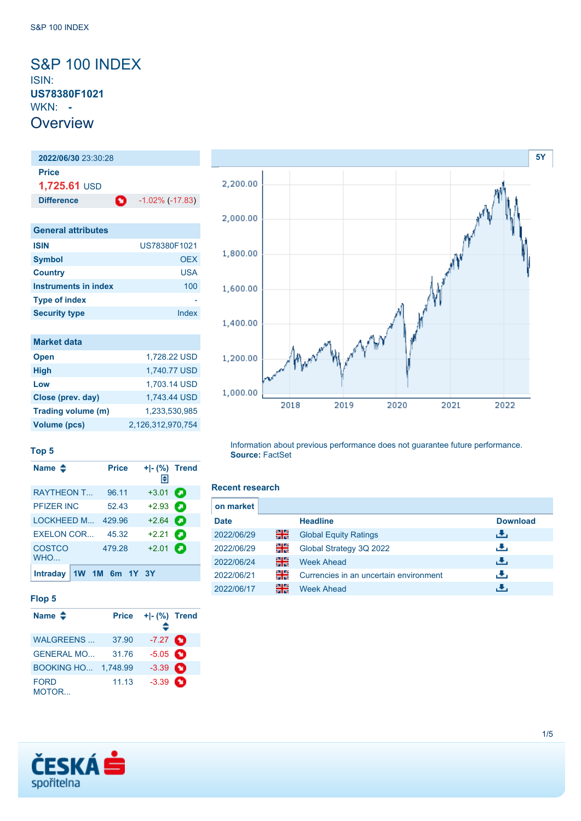## <span id="page-0-0"></span>S&P 100 INDEX ISIN: **US78380F1021** WKN: **- Overview**

## **2022/06/30** 23:30:28 **Price 1,725.61** USD **Difference 1.02%** (-17.83) **General attributes ISIN** US78380F1021 **Symbol** OEX **Country** USA **Instruments in index** 100 **Type of index** - **Security type Index**

| <b>Market data</b>  |                   |
|---------------------|-------------------|
| <b>Open</b>         | 1,728.22 USD      |
| <b>High</b>         | 1,740.77 USD      |
| Low                 | 1,703.14 USD      |
| Close (prev. day)   | 1.743.44 USD      |
| Trading volume (m)  | 1.233.530.985     |
| <b>Volume (pcs)</b> | 2,126,312,970,754 |



#### **Top 5**

| Name $\clubsuit$     |    | <b>Price</b> |             | H       | + - (%) Trend |
|----------------------|----|--------------|-------------|---------|---------------|
| <b>RAYTHEON T</b>    |    | 96.11        |             | $+3.01$ | а             |
| PFIZER INC           |    | 52.43        |             | $+2.93$ |               |
| LOCKHEED M           |    | 429.96       |             | $+2.64$ | О             |
| <b>EXELON COR</b>    |    | 45.32        |             | $+2.21$ | а             |
| <b>COSTCO</b><br>WHO |    | 479.28       |             | $+2.01$ | о             |
| <b>Intraday</b>      | 1W |              | 1M 6m 1Y 3Y |         |               |

#### **Flop 5**

| Name $\triangle$     | <b>Price</b> | + - (%) Trend      |  |
|----------------------|--------------|--------------------|--|
| <b>WALGREENS</b>     | 37.90        | $-7.27$ $\bullet$  |  |
| <b>GENERAL MO</b>    | 31.76        | $-5.05$ $\bigodot$ |  |
| <b>BOOKING HO</b>    | 1.748.99     | $-3.39$ $\bullet$  |  |
| <b>FORD</b><br>MOTOR | 11.13        | $-3.39$ $\bullet$  |  |

Information about previous performance does not guarantee future performance. **Source:** FactSet

#### **Recent research**

| on market   |    |                                        |                 |
|-------------|----|----------------------------------------|-----------------|
| <b>Date</b> |    | <b>Headline</b>                        | <b>Download</b> |
| 2022/06/29  | 꾉  | <b>Global Equity Ratings</b>           | رائي            |
| 2022/06/29  | 읡  | Global Strategy 3Q 2022                | æ,              |
| 2022/06/24  | 을  | <b>Week Ahead</b>                      | رالى            |
| 2022/06/21  | 읡  | Currencies in an uncertain environment | æ,              |
| 2022/06/17  | 을중 | <b>Week Ahead</b>                      |                 |

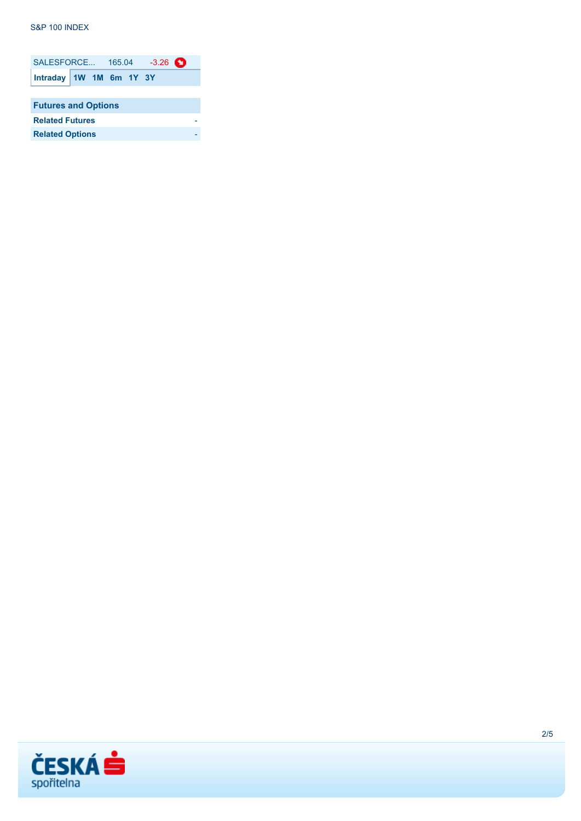#### **S&P 100 INDEX**

| SALESFORCE 165.04 -3.26    |  |  |  |  |  |  |
|----------------------------|--|--|--|--|--|--|
| Intraday 1W 1M 6m 1Y 3Y    |  |  |  |  |  |  |
|                            |  |  |  |  |  |  |
| <b>Futures and Options</b> |  |  |  |  |  |  |
| <b>Related Futures</b>     |  |  |  |  |  |  |
| <b>Related Options</b>     |  |  |  |  |  |  |

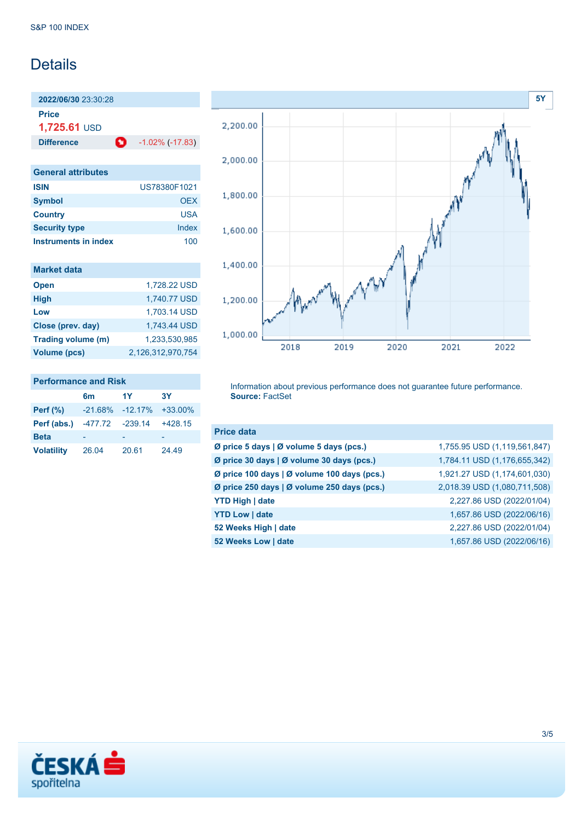## **Details**

**2022/06/30** 23:30:28 **Price**

**1,725.61** USD

**Difference** -1.02% (-17.83)

| <b>General attributes</b> |              |
|---------------------------|--------------|
| <b>ISIN</b>               | US78380F1021 |
| <b>Symbol</b>             | OFX          |
| <b>Country</b>            | USA          |
| <b>Security type</b>      | Index        |
| Instruments in index      | 100          |

| <b>Market data</b>  |                   |
|---------------------|-------------------|
| <b>Open</b>         | 1,728.22 USD      |
| <b>High</b>         | 1,740.77 USD      |
| Low                 | 1,703.14 USD      |
| Close (prev. day)   | 1,743.44 USD      |
| Trading volume (m)  | 1.233.530.985     |
| <b>Volume (pcs)</b> | 2,126,312,970,754 |

### **Performance and Risk**

|                   | 6m              | 1Y                           | 3Y        |
|-------------------|-----------------|------------------------------|-----------|
| <b>Perf</b> (%)   |                 | $-21.68\% -12.17\% +33.00\%$ |           |
| Perf (abs.)       | -477.72 -239.14 |                              | $+428.15$ |
| <b>Beta</b>       |                 |                              |           |
| <b>Volatility</b> | 26.04           | 20.61                        | 24.49     |



Information about previous performance does not guarantee future performance. **Source:** FactSet

| <b>Price data</b>                           |                              |
|---------------------------------------------|------------------------------|
| Ø price 5 days   Ø volume 5 days (pcs.)     | 1,755.95 USD (1,119,561,847) |
| Ø price 30 days   Ø volume 30 days (pcs.)   | 1,784.11 USD (1,176,655,342) |
| Ø price 100 days   Ø volume 100 days (pcs.) | 1,921.27 USD (1,174,601,030) |
| Ø price 250 days   Ø volume 250 days (pcs.) | 2,018.39 USD (1,080,711,508) |
| <b>YTD High   date</b>                      | 2,227.86 USD (2022/01/04)    |
| <b>YTD Low   date</b>                       | 1,657.86 USD (2022/06/16)    |
| 52 Weeks High   date                        | 2,227.86 USD (2022/01/04)    |
| 52 Weeks Low   date                         | 1,657.86 USD (2022/06/16)    |

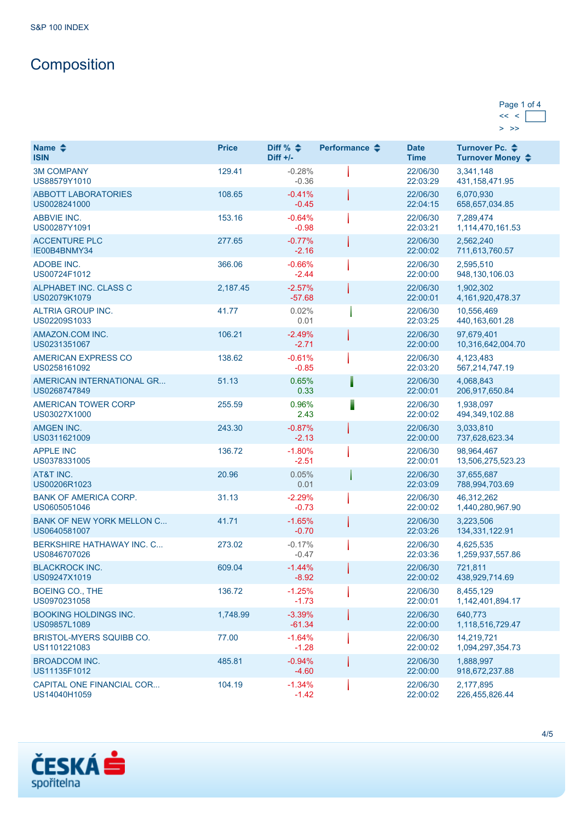# **Composition**

#### Page 1 of 4  $<< <$  $>$   $>$

| Name $\clubsuit$<br><b>ISIN</b>                  | <b>Price</b> | Diff % $\triangleq$<br>Diff $+/-$ | Performance $\triangle$ | <b>Date</b><br><b>Time</b> | Turnover Pc. ♦<br>Turnover Money ♦ |
|--------------------------------------------------|--------------|-----------------------------------|-------------------------|----------------------------|------------------------------------|
| <b>3M COMPANY</b><br>US88579Y1010                | 129.41       | $-0.28%$<br>$-0.36$               |                         | 22/06/30<br>22:03:29       | 3,341,148<br>431, 158, 471. 95     |
| <b>ABBOTT LABORATORIES</b><br>US0028241000       | 108.65       | $-0.41%$<br>$-0.45$               |                         | 22/06/30<br>22:04:15       | 6.070.930<br>658,657,034.85        |
| <b>ABBVIE INC.</b><br>US00287Y1091               | 153.16       | $-0.64%$<br>$-0.98$               |                         | 22/06/30<br>22:03:21       | 7,289,474<br>1,114,470,161.53      |
| <b>ACCENTURE PLC</b><br>IE00B4BNMY34             | 277.65       | $-0.77%$<br>$-2.16$               |                         | 22/06/30<br>22:00:02       | 2,562,240<br>711,613,760.57        |
| <b>ADOBE INC.</b><br>US00724F1012                | 366.06       | $-0.66%$<br>$-2.44$               |                         | 22/06/30<br>22:00:00       | 2,595,510<br>948, 130, 106.03      |
| ALPHABET INC. CLASS C<br>US02079K1079            | 2,187.45     | $-2.57%$<br>$-57.68$              |                         | 22/06/30<br>22:00:01       | 1,902,302<br>4, 161, 920, 478. 37  |
| ALTRIA GROUP INC.<br>US02209S1033                | 41.77        | 0.02%<br>0.01                     |                         | 22/06/30<br>22:03:25       | 10,556,469<br>440, 163, 601. 28    |
| AMAZON.COM INC.<br>US0231351067                  | 106.21       | $-2.49%$<br>$-2.71$               |                         | 22/06/30<br>22:00:00       | 97.679.401<br>10,316,642,004.70    |
| AMERICAN EXPRESS CO<br>US0258161092              | 138.62       | $-0.61%$<br>$-0.85$               |                         | 22/06/30<br>22:03:20       | 4,123,483<br>567,214,747.19        |
| AMERICAN INTERNATIONAL GR<br>US0268747849        | 51.13        | 0.65%<br>0.33                     |                         | 22/06/30<br>22:00:01       | 4,068,843<br>206,917,650.84        |
| <b>AMERICAN TOWER CORP</b><br>US03027X1000       | 255.59       | 0.96%<br>2.43                     |                         | 22/06/30<br>22:00:02       | 1,938,097<br>494, 349, 102.88      |
| <b>AMGEN INC.</b><br>US0311621009                | 243.30       | $-0.87%$<br>$-2.13$               |                         | 22/06/30<br>22:00:00       | 3,033,810<br>737,628,623.34        |
| <b>APPLE INC</b><br>US0378331005                 | 136.72       | $-1.80%$<br>$-2.51$               |                         | 22/06/30<br>22:00:01       | 98,964,467<br>13,506,275,523.23    |
| AT&T INC.<br>US00206R1023                        | 20.96        | 0.05%<br>0.01                     |                         | 22/06/30<br>22:03:09       | 37,655,687<br>788,994,703.69       |
| <b>BANK OF AMERICA CORP.</b><br>US0605051046     | 31.13        | $-2.29%$<br>$-0.73$               |                         | 22/06/30<br>22:00:02       | 46,312,262<br>1,440,280,967.90     |
| <b>BANK OF NEW YORK MELLON C</b><br>US0640581007 | 41.71        | $-1.65%$<br>$-0.70$               |                         | 22/06/30<br>22:03:26       | 3,223,506<br>134, 331, 122. 91     |
| <b>BERKSHIRE HATHAWAY INC. C</b><br>US0846707026 | 273.02       | $-0.17%$<br>$-0.47$               |                         | 22/06/30<br>22:03:36       | 4,625,535<br>1,259,937,557.86      |
| <b>BLACKROCK INC.</b><br>US09247X1019            | 609.04       | $-1.44%$<br>$-8.92$               |                         | 22/06/30<br>22:00:02       | 721,811<br>438,929,714.69          |
| <b>BOEING CO., THE</b><br>US0970231058           | 136.72       | $-1.25%$<br>$-1.73$               |                         | 22/06/30<br>22:00:01       | 8,455,129<br>1,142,401,894.17      |
| <b>BOOKING HOLDINGS INC.</b><br>US09857L1089     | 1,748.99     | $-3.39%$<br>$-61.34$              |                         | 22/06/30<br>22:00:00       | 640,773<br>1,118,516,729.47        |
| BRISTOL-MYERS SQUIBB CO.<br>US1101221083         | 77.00        | $-1.64%$<br>$-1.28$               |                         | 22/06/30<br>22:00:02       | 14,219,721<br>1,094,297,354.73     |
| <b>BROADCOM INC.</b><br>US11135F1012             | 485.81       | $-0.94%$<br>$-4.60$               |                         | 22/06/30<br>22:00:00       | 1,888,997<br>918,672,237.88        |
| CAPITAL ONE FINANCIAL COR<br>US14040H1059        | 104.19       | $-1.34%$<br>$-1.42$               |                         | 22/06/30<br>22:00:02       | 2,177,895<br>226,455,826.44        |